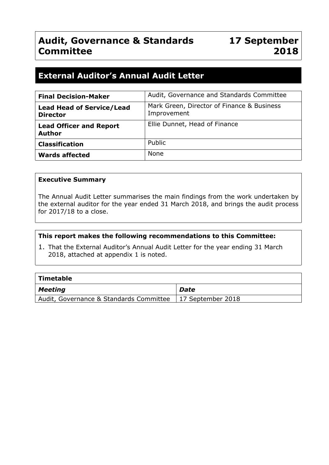# **Audit, Governance & Standards Committee**

# **External Auditor's Annual Audit Letter**

| <b>Final Decision-Maker</b>                         | Audit, Governance and Standards Committee                 |
|-----------------------------------------------------|-----------------------------------------------------------|
| <b>Lead Head of Service/Lead</b><br><b>Director</b> | Mark Green, Director of Finance & Business<br>Improvement |
| <b>Lead Officer and Report</b><br><b>Author</b>     | Ellie Dunnet, Head of Finance                             |
| <b>Classification</b>                               | Public                                                    |
| <b>Wards affected</b>                               | <b>None</b>                                               |

#### **Executive Summary**

The Annual Audit Letter summarises the main findings from the work undertaken by the external auditor for the year ended 31 March 2018, and brings the audit process for 2017/18 to a close.

#### **This report makes the following recommendations to this Committee:**

1. That the External Auditor's Annual Audit Letter for the year ending 31 March 2018, attached at appendix 1 is noted.

| $\mid$ Timetable                        |                           |
|-----------------------------------------|---------------------------|
| $\vert$ Meeting                         | Date                      |
| Audit, Governance & Standards Committee | $\vert$ 17 September 2018 |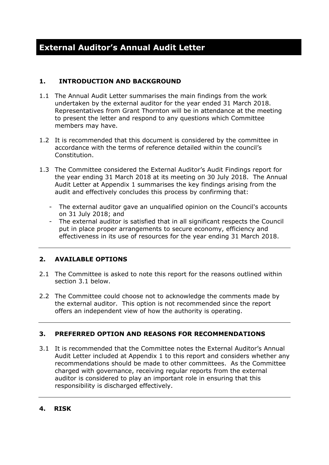## **1. INTRODUCTION AND BACKGROUND**

- 1.1 The Annual Audit Letter summarises the main findings from the work undertaken by the external auditor for the year ended 31 March 2018. Representatives from Grant Thornton will be in attendance at the meeting to present the letter and respond to any questions which Committee members may have.
- 1.2 It is recommended that this document is considered by the committee in accordance with the terms of reference detailed within the council's Constitution.
- 1.3 The Committee considered the External Auditor's Audit Findings report for the year ending 31 March 2018 at its meeting on 30 July 2018. The Annual Audit Letter at Appendix 1 summarises the key findings arising from the audit and effectively concludes this process by confirming that:
	- The external auditor gave an unqualified opinion on the Council's accounts on 31 July 2018; and
	- The external auditor is satisfied that in all significant respects the Council put in place proper arrangements to secure economy, efficiency and effectiveness in its use of resources for the year ending 31 March 2018.

# **2. AVAILABLE OPTIONS**

- 2.1 The Committee is asked to note this report for the reasons outlined within section 3.1 below.
- 2.2 The Committee could choose not to acknowledge the comments made by the external auditor. This option is not recommended since the report offers an independent view of how the authority is operating.

## **3. PREFERRED OPTION AND REASONS FOR RECOMMENDATIONS**

3.1 It is recommended that the Committee notes the External Auditor's Annual Audit Letter included at Appendix 1 to this report and considers whether any recommendations should be made to other committees. As the Committee charged with governance, receiving regular reports from the external auditor is considered to play an important role in ensuring that this responsibility is discharged effectively.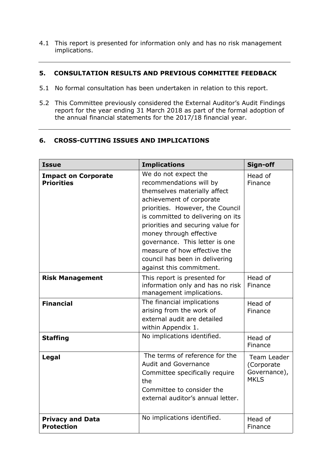4.1 This report is presented for information only and has no risk management implications.

#### **5. CONSULTATION RESULTS AND PREVIOUS COMMITTEE FEEDBACK**

- 5.1 No formal consultation has been undertaken in relation to this report.
- 5.2 This Committee previously considered the External Auditor's Audit Findings report for the year ending 31 March 2018 as part of the formal adoption of the annual financial statements for the 2017/18 financial year.

## **6. CROSS-CUTTING ISSUES AND IMPLICATIONS**

| <b>Issue</b>                                    | <b>Implications</b>                                                                                                                                                                                                                                                                                                                                                                  | Sign-off                                                 |
|-------------------------------------------------|--------------------------------------------------------------------------------------------------------------------------------------------------------------------------------------------------------------------------------------------------------------------------------------------------------------------------------------------------------------------------------------|----------------------------------------------------------|
| <b>Impact on Corporate</b><br><b>Priorities</b> | We do not expect the<br>recommendations will by<br>themselves materially affect<br>achievement of corporate<br>priorities. However, the Council<br>is committed to delivering on its<br>priorities and securing value for<br>money through effective<br>governance. This letter is one<br>measure of how effective the<br>council has been in delivering<br>against this commitment. | Head of<br>Finance                                       |
| <b>Risk Management</b>                          | This report is presented for<br>information only and has no risk<br>management implications.                                                                                                                                                                                                                                                                                         | Head of<br>Finance                                       |
| <b>Financial</b>                                | The financial implications<br>arising from the work of<br>external audit are detailed<br>within Appendix 1.                                                                                                                                                                                                                                                                          | Head of<br>Finance                                       |
| <b>Staffing</b>                                 | No implications identified.                                                                                                                                                                                                                                                                                                                                                          | Head of<br>Finance                                       |
| Legal                                           | The terms of reference for the<br><b>Audit and Governance</b><br>Committee specifically require<br>the<br>Committee to consider the<br>external auditor's annual letter.                                                                                                                                                                                                             | Team Leader<br>(Corporate<br>Governance),<br><b>MKLS</b> |
| <b>Privacy and Data</b><br><b>Protection</b>    | No implications identified.                                                                                                                                                                                                                                                                                                                                                          | Head of<br>Finance                                       |